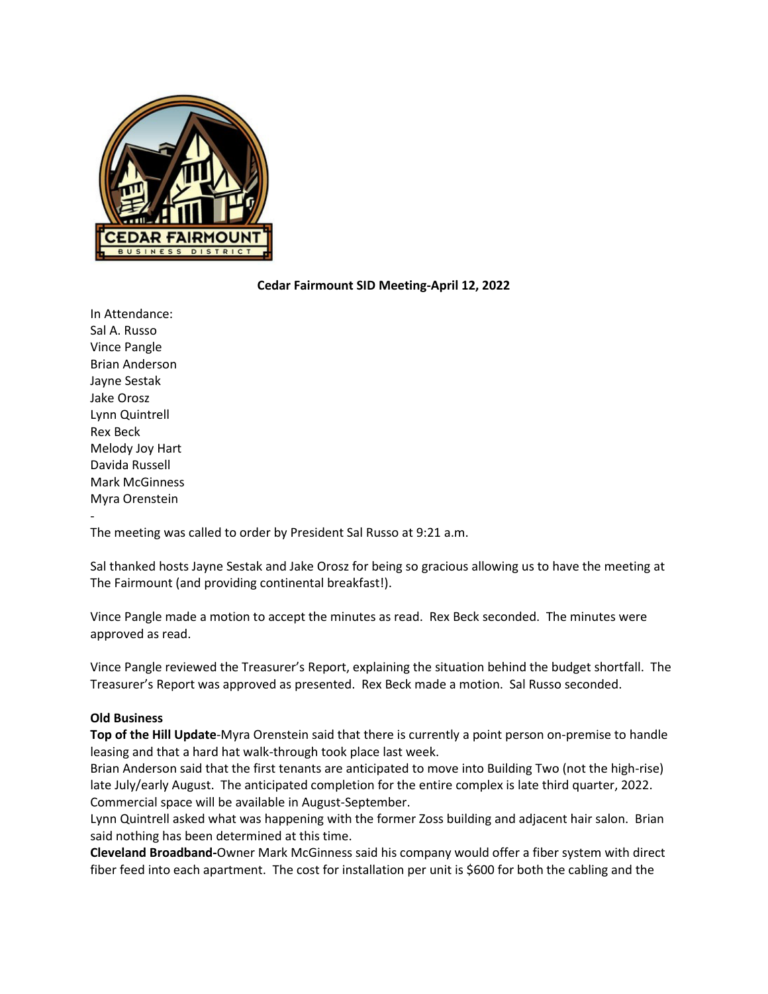

## **Cedar Fairmount SID Meeting-April 12, 2022**

In Attendance: Sal A. Russo Vince Pangle Brian Anderson Jayne Sestak Jake Orosz Lynn Quintrell Rex Beck Melody Joy Hart Davida Russell Mark McGinness Myra Orenstein

-

The meeting was called to order by President Sal Russo at 9:21 a.m.

Sal thanked hosts Jayne Sestak and Jake Orosz for being so gracious allowing us to have the meeting at The Fairmount (and providing continental breakfast!).

Vince Pangle made a motion to accept the minutes as read. Rex Beck seconded. The minutes were approved as read.

Vince Pangle reviewed the Treasurer's Report, explaining the situation behind the budget shortfall. The Treasurer's Report was approved as presented. Rex Beck made a motion. Sal Russo seconded.

## **Old Business**

**Top of the Hill Update**-Myra Orenstein said that there is currently a point person on-premise to handle leasing and that a hard hat walk-through took place last week.

Brian Anderson said that the first tenants are anticipated to move into Building Two (not the high-rise) late July/early August. The anticipated completion for the entire complex is late third quarter, 2022. Commercial space will be available in August-September.

Lynn Quintrell asked what was happening with the former Zoss building and adjacent hair salon. Brian said nothing has been determined at this time.

**Cleveland Broadband-**Owner Mark McGinness said his company would offer a fiber system with direct fiber feed into each apartment. The cost for installation per unit is \$600 for both the cabling and the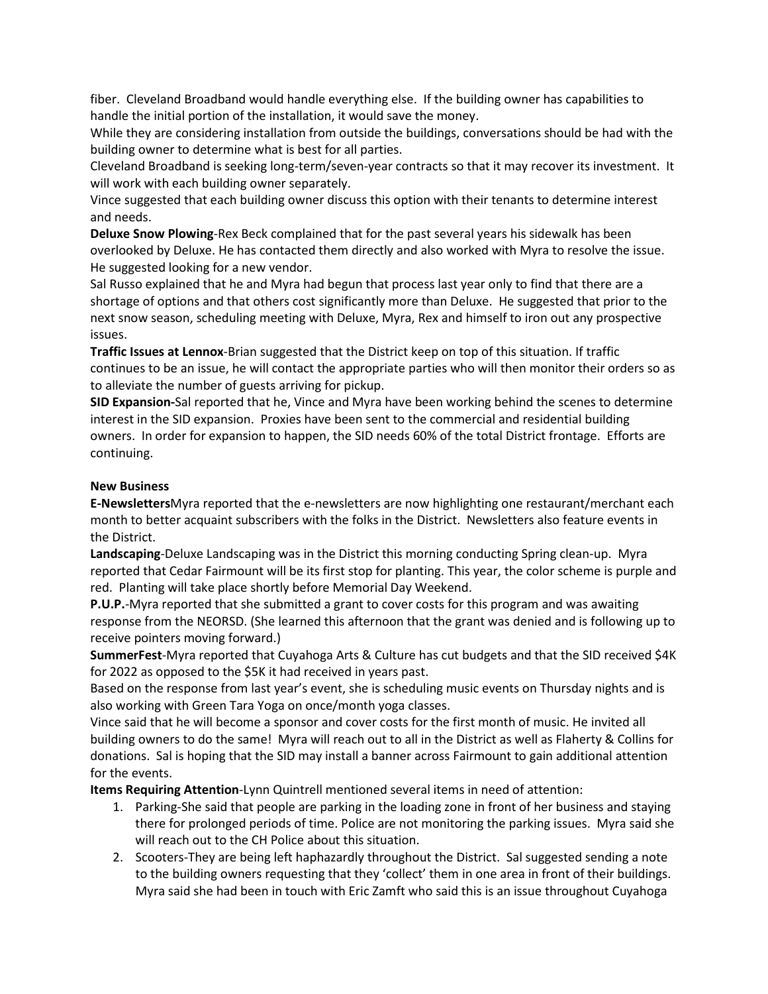fiber. Cleveland Broadband would handle everything else. If the building owner has capabilities to handle the initial portion of the installation, it would save the money.

While they are considering installation from outside the buildings, conversations should be had with the building owner to determine what is best for all parties.

Cleveland Broadband is seeking long-term/seven-year contracts so that it may recover its investment. It will work with each building owner separately.

Vince suggested that each building owner discuss this option with their tenants to determine interest and needs.

**Deluxe Snow Plowing**-Rex Beck complained that for the past several years his sidewalk has been overlooked by Deluxe. He has contacted them directly and also worked with Myra to resolve the issue. He suggested looking for a new vendor.

Sal Russo explained that he and Myra had begun that process last year only to find that there are a shortage of options and that others cost significantly more than Deluxe. He suggested that prior to the next snow season, scheduling meeting with Deluxe, Myra, Rex and himself to iron out any prospective issues.

**Traffic Issues at Lennox**-Brian suggested that the District keep on top of this situation. If traffic continues to be an issue, he will contact the appropriate parties who will then monitor their orders so as to alleviate the number of guests arriving for pickup.

**SID Expansion-**Sal reported that he, Vince and Myra have been working behind the scenes to determine interest in the SID expansion. Proxies have been sent to the commercial and residential building owners. In order for expansion to happen, the SID needs 60% of the total District frontage. Efforts are continuing.

## **New Business**

**E-Newsletters**Myra reported that the e-newsletters are now highlighting one restaurant/merchant each month to better acquaint subscribers with the folks in the District. Newsletters also feature events in the District.

**Landscaping**-Deluxe Landscaping was in the District this morning conducting Spring clean-up. Myra reported that Cedar Fairmount will be its first stop for planting. This year, the color scheme is purple and red. Planting will take place shortly before Memorial Day Weekend.

**P.U.P.**-Myra reported that she submitted a grant to cover costs for this program and was awaiting response from the NEORSD. (She learned this afternoon that the grant was denied and is following up to receive pointers moving forward.)

**SummerFest**-Myra reported that Cuyahoga Arts & Culture has cut budgets and that the SID received \$4K for 2022 as opposed to the \$5K it had received in years past.

Based on the response from last year's event, she is scheduling music events on Thursday nights and is also working with Green Tara Yoga on once/month yoga classes.

Vince said that he will become a sponsor and cover costs for the first month of music. He invited all building owners to do the same! Myra will reach out to all in the District as well as Flaherty & Collins for donations. Sal is hoping that the SID may install a banner across Fairmount to gain additional attention for the events.

**Items Requiring Attention**-Lynn Quintrell mentioned several items in need of attention:

- 1. Parking-She said that people are parking in the loading zone in front of her business and staying there for prolonged periods of time. Police are not monitoring the parking issues. Myra said she will reach out to the CH Police about this situation.
- 2. Scooters-They are being left haphazardly throughout the District. Sal suggested sending a note to the building owners requesting that they 'collect' them in one area in front of their buildings. Myra said she had been in touch with Eric Zamft who said this is an issue throughout Cuyahoga